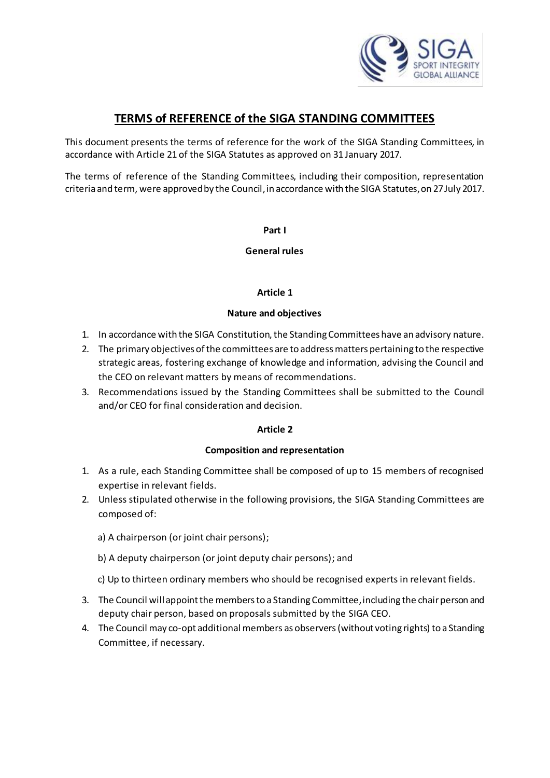

# **TERMS of REFERENCE of the SIGA STANDING COMMITTEES**

This document presents the terms of reference for the work of the SIGA Standing Committees, in accordance with Article 21 of the SIGA Statutes as approved on 31 January 2017.

The terms of reference of the Standing Committees, including their composition, representation criteria and term, were approved by the Council, in accordance with the SIGA Statutes, on 27 July 2017.

**Part I**

**General rules**

### **Article 1**

### **Nature and objectives**

- 1. In accordance with the SIGA Constitution, the Standing Committees have an advisory nature.
- 2. The primary objectives of the committees are to address matters pertaining to the respective strategic areas, fostering exchange of knowledge and information, advising the Council and the CEO on relevant matters by means of recommendations.
- 3. Recommendations issued by the Standing Committees shall be submitted to the Council and/or CEO for final consideration and decision.

### **Article 2**

#### **Composition and representation**

- 1. As a rule, each Standing Committee shall be composed of up to 15 members of recognised expertise in relevant fields.
- 2. Unless stipulated otherwise in the following provisions, the SIGA Standing Committees are composed of:
	- a) A chairperson (or joint chair persons);
	- b) A deputy chairperson (or joint deputy chair persons); and
	- c) Up to thirteen ordinary members who should be recognised experts in relevant fields.
- 3. The Council will appoint the members to a Standing Committee, including the chair person and deputy chair person, based on proposals submitted by the SIGA CEO.
- 4. The Council may co-opt additional members as observers(without voting rights) to a Standing Committee, if necessary.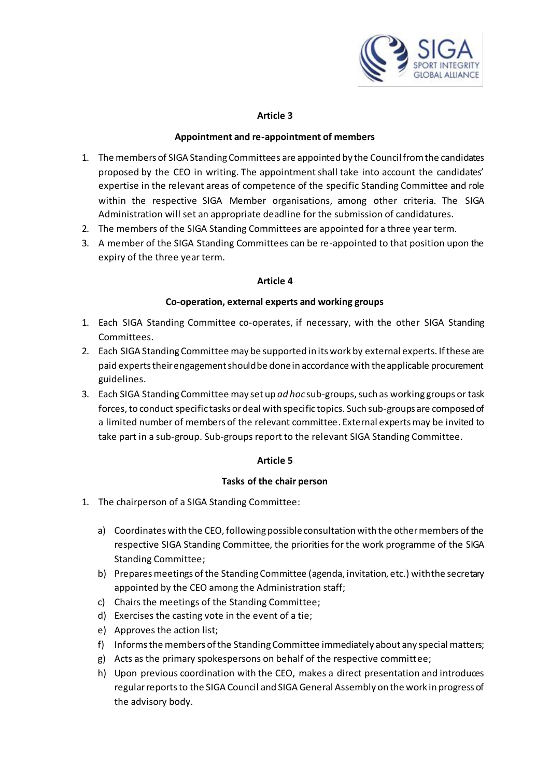

#### **Appointment and re-appointment of members**

- 1. The members of SIGA Standing Committees are appointed by the Councilfrom the candidates proposed by the CEO in writing. The appointment shall take into account the candidates' expertise in the relevant areas of competence of the specific Standing Committee and role within the respective SIGA Member organisations, among other criteria. The SIGA Administration will set an appropriate deadline for the submission of candidatures.
- 2. The members of the SIGA Standing Committees are appointed for a three year term.
- 3. A member of the SIGA Standing Committees can be re-appointed to that position upon the expiry of the three year term.

### **Article 4**

### **Co-operation, external experts and working groups**

- 1. Each SIGA Standing Committee co-operates, if necessary, with the other SIGA Standing Committees.
- 2. Each SIGA Standing Committee may be supported in its work by external experts. If these are paid experts their engagement should be done in accordance with the applicable procurement guidelines.
- 3. Each SIGA Standing Committee may set up *ad hoc* sub-groups,such as working groups or task forces, to conduct specific tasks or deal with specific topics. Such sub-groups are composed of a limited number of members of the relevant committee. External experts may be invited to take part in a sub-group. Sub-groups report to the relevant SIGA Standing Committee.

### **Article 5**

#### **Tasks of the chair person**

- 1. The chairperson of a SIGA Standing Committee:
	- a) Coordinates with the CEO, following possible consultation with the other members of the respective SIGA Standing Committee, the priorities for the work programme of the SIGA Standing Committee;
	- b) Prepares meetings of the Standing Committee (agenda, invitation, etc.) with the secretary appointed by the CEO among the Administration staff;
	- c) Chairs the meetings of the Standing Committee;
	- d) Exercises the casting vote in the event of a tie;
	- e) Approves the action list;
	- f) Informs the members of the Standing Committee immediately about any special matters;
	- g) Acts as the primary spokespersons on behalf of the respective committee;
	- h) Upon previous coordination with the CEO, makes a direct presentation and introduces regular reportsto the SIGA Council and SIGA General Assembly on the work in progress of the advisory body.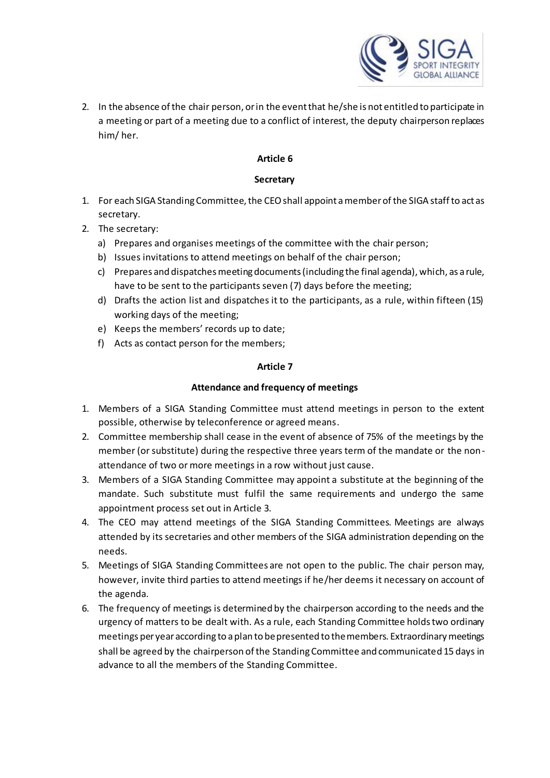

2. In the absence of the chair person, or in the event that he/she is not entitled to participate in a meeting or part of a meeting due to a conflict of interest, the deputy chairperson replaces him/ her.

### **Article 6**

### **Secretary**

- 1. For each SIGA Standing Committee, the CEOshall appoint a member of the SIGA staff to act as secretary.
- 2. The secretary:
	- a) Prepares and organises meetings of the committee with the chair person;
	- b) Issues invitations to attend meetings on behalf of the chair person;
	- c) Prepares and dispatches meeting documents (including the final agenda), which, as a rule, have to be sent to the participants seven (7) days before the meeting;
	- d) Drafts the action list and dispatches it to the participants, as a rule, within fifteen (15) working days of the meeting;
	- e) Keeps the members' records up to date;
	- f) Acts as contact person for the members;

### **Article 7**

### **Attendance and frequency of meetings**

- 1. Members of a SIGA Standing Committee must attend meetings in person to the extent possible, otherwise by teleconference or agreed means.
- 2. Committee membership shall cease in the event of absence of 75% of the meetings by the member (or substitute) during the respective three years term of the mandate or the nonattendance of two or more meetings in a row without just cause.
- 3. Members of a SIGA Standing Committee may appoint a substitute at the beginning of the mandate. Such substitute must fulfil the same requirements and undergo the same appointment process set out in Article 3.
- 4. The CEO may attend meetings of the SIGA Standing Committees. Meetings are always attended by its secretaries and other members of the SIGA administration depending on the needs.
- 5. Meetings of SIGA Standing Committees are not open to the public. The chair person may, however, invite third parties to attend meetings if he/her deems it necessary on account of the agenda.
- 6. The frequency of meetings is determined by the chairperson according to the needs and the urgency of matters to be dealt with. As a rule, each Standing Committee holds two ordinary meetings per year according to a plan to be presented to the members. Extraordinary meetings shall be agreed by the chairperson of the Standing Committee and communicated 15 days in advance to all the members of the Standing Committee.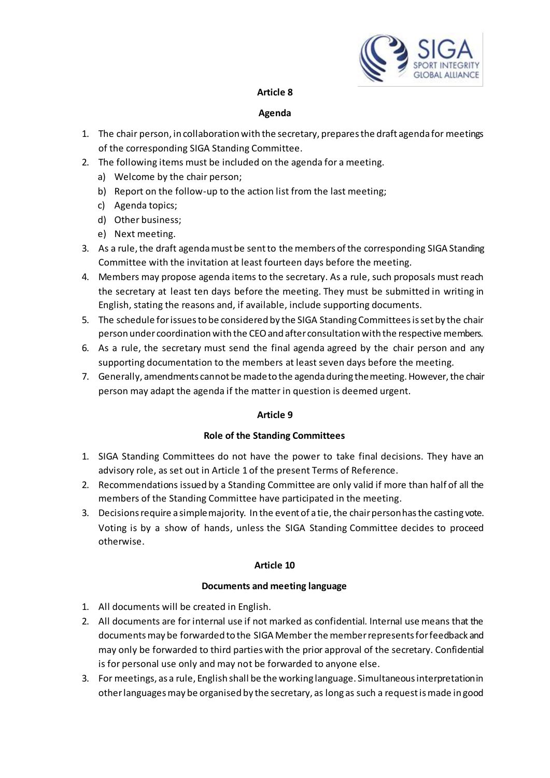

### **Agenda**

- 1. The chair person, in collaboration with the secretary, prepares the draft agenda for meetings of the corresponding SIGA Standing Committee.
- 2. The following items must be included on the agenda for a meeting.
	- a) Welcome by the chair person;
	- b) Report on the follow-up to the action list from the last meeting;
	- c) Agenda topics;
	- d) Other business;
	- e) Next meeting.
- 3. As a rule, the draft agenda must be sent to the members of the corresponding SIGA Standing Committee with the invitation at least fourteen days before the meeting.
- 4. Members may propose agenda items to the secretary. As a rule, such proposals must reach the secretary at least ten days before the meeting. They must be submitted in writing in English, stating the reasons and, if available, include supporting documents.
- 5. The schedule for issues to be considered by the SIGA Standing Committees is set by the chair person under coordination with the CEO and after consultation with the respective members.
- 6. As a rule, the secretary must send the final agenda agreed by the chair person and any supporting documentation to the members at least seven days before the meeting.
- 7. Generally, amendments cannot be made to the agenda during the meeting. However, the chair person may adapt the agenda if the matter in question is deemed urgent.

### **Article 9**

### **Role of the Standing Committees**

- 1. SIGA Standing Committees do not have the power to take final decisions. They have an advisory role, as set out in Article 1 of the present Terms of Reference.
- 2. Recommendations issued by a Standing Committee are only valid if more than half of all the members of the Standing Committee have participated in the meeting.
- 3. Decisions require a simple majority. In the event of a tie, the chair person has the casting vote. Voting is by a show of hands, unless the SIGA Standing Committee decides to proceed otherwise.

### **Article 10**

### **Documents and meeting language**

- 1. All documents will be created in English.
- 2. All documents are for internal use if not marked as confidential. Internal use means that the documents may be forwarded to the SIGA Member the member represents for feedback and may only be forwarded to third parties with the prior approval of the secretary. Confidential is for personal use only and may not be forwarded to anyone else.
- 3. For meetings, as a rule, English shall be the working language. Simultaneous interpretation in other languages may be organised by the secretary, as long as such a request is made in good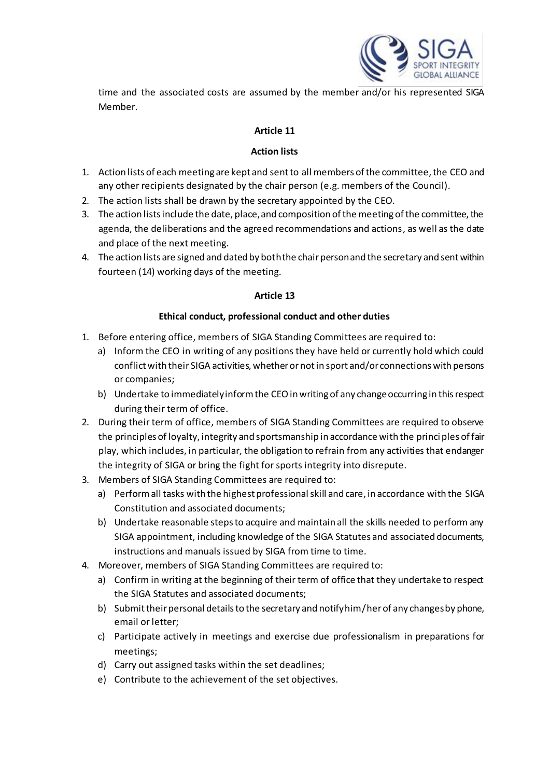

time and the associated costs are assumed by the member and/or his represented SIGA Member.

# **Article 11**

### **Action lists**

- 1. Action lists of each meeting are kept and sent to all members of the committee, the CEO and any other recipients designated by the chair person (e.g. members of the Council).
- 2. The action lists shall be drawn by the secretary appointed by the CEO.
- 3. The action lists include the date, place, and composition of the meeting of the committee, the agenda, the deliberations and the agreed recommendations and actions, as well as the date and place of the next meeting.
- 4. The action lists are signed and dated by both the chair person and the secretary and sent within fourteen (14) working days of the meeting.

# **Article 13**

# **Ethical conduct, professional conduct and other duties**

- 1. Before entering office, members of SIGA Standing Committees are required to:
	- a) Inform the CEO in writing of any positions they have held or currently hold which could conflict with their SIGA activities, whether or not in sport and/or connections with persons or companies;
	- b) Undertake to immediately inform the CEO in writing of any change occurring in this respect during their term of office.
- 2. During their term of office, members of SIGA Standing Committees are required to observe the principles of loyalty, integrity and sportsmanship in accordance with the princi ples of fair play, which includes, in particular, the obligation to refrain from any activities that endanger the integrity of SIGA or bring the fight for sports integrity into disrepute.
- 3. Members of SIGA Standing Committees are required to:
	- a) Perform all tasks with the highest professional skill and care, in accordance with the SIGA Constitution and associated documents;
	- b) Undertake reasonable steps to acquire and maintain all the skills needed to perform any SIGA appointment, including knowledge of the SIGA Statutes and associated documents, instructions and manuals issued by SIGA from time to time.
- 4. Moreover, members of SIGA Standing Committees are required to:
	- a) Confirm in writing at the beginning of their term of office that they undertake to respect the SIGA Statutes and associated documents;
	- b) Submit their personal details to the secretary and notify him/ herof any changes by phone, email or letter;
	- c) Participate actively in meetings and exercise due professionalism in preparations for meetings;
	- d) Carry out assigned tasks within the set deadlines;
	- e) Contribute to the achievement of the set objectives.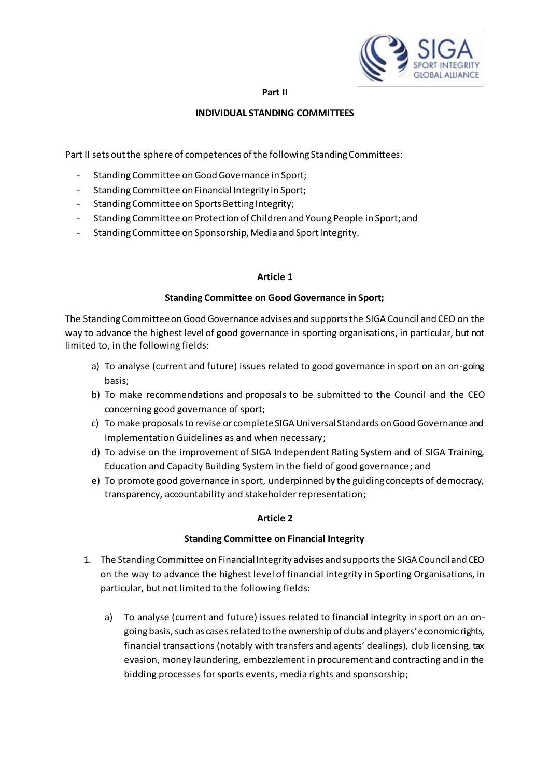

#### **Part II**

### **INDIVIDUAL STANDING COMMITTEES**

Part II sets out the sphere of competences of the following Standing Committees:

- Standing Committee on Good Governance in Sport;
- Standing Committee on Financial Integrity in Sport;
- Standing Committee on Sports Betting Integrity;
- Standing Committee on Protection of Children and Young People in Sport; and
- Standing Committee on Sponsorship, Media and Sport Integrity.

### **Article 1**

### **Standing Committee on Good Governance in Sport;**

The Standing Committee on Good Governance advises and supports the SIGA Council and CEO on the way to advance the highest level of good governance in sporting organisations, in particular, but not limited to, in the following fields:

- a) To analyse (current and future) issues related to good governance in sport on an on-going basis;
- b) To make recommendations and proposals to be submitted to the Council and the CEO concerning good governance of sport;
- c) To make proposals to revise or complete SIGA Universal Standards on Good Governance and Implementation Guidelines as and when necessary;
- d) To advise on the improvement of SIGA Independent Rating System and of SIGA Training, Education and Capacity Building System in the field of good governance; and
- e) To promote good governance in sport, underpinned by the guiding concepts of democracy, transparency, accountability and stakeholder representation;

### **Article 2**

### **Standing Committee on Financial Integrity**

- 1. The Standing Committee on Financial Integrity advises and supports the SIGA Council and CEO on the way to advance the highest level of financial integrity in Sporting Organisations, in particular, but not limited to the following fields:
	- a) To analyse (current and future) issues related to financial integrity in sport on an ongoing basis, such as cases related to the ownership of clubs and players' economic rights, financial transactions (notably with transfers and agents' dealings), club licensing, tax evasion, money laundering, embezzlement in procurement and contracting and in the bidding processes for sports events, media rights and sponsorship;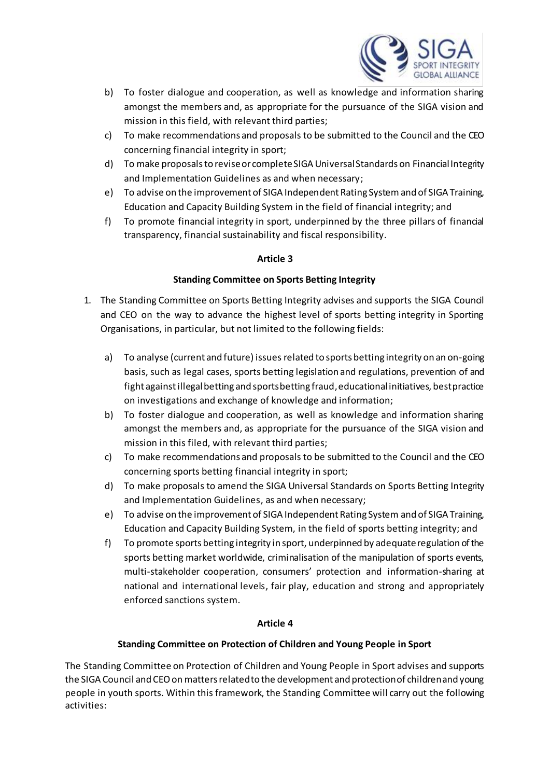

- b) To foster dialogue and cooperation, as well as knowledge and information sharing amongst the members and, as appropriate for the pursuance of the SIGA vision and mission in this field, with relevant third parties;
- c) To make recommendations and proposals to be submitted to the Council and the CEO concerning financial integrity in sport;
- d) To make proposals to revise or complete SIGA Universal Standards on Financial Integrity and Implementation Guidelines as and when necessary;
- e) To advise on the improvement of SIGA Independent Rating System and of SIGA Training, Education and Capacity Building System in the field of financial integrity; and
- f) To promote financial integrity in sport, underpinned by the three pillars of financial transparency, financial sustainability and fiscal responsibility.

# **Standing Committee on Sports Betting Integrity**

- 1. The Standing Committee on Sports Betting Integrity advises and supports the SIGA Council and CEO on the way to advance the highest level of sports betting integrity in Sporting Organisations, in particular, but not limited to the following fields:
	- a) To analyse (current and future) issues related to sports betting integrity on an on-going basis, such as legal cases, sports betting legislation and regulations, prevention of and fight against illegal betting and sports betting fraud, educational initiatives, best practice on investigations and exchange of knowledge and information;
	- b) To foster dialogue and cooperation, as well as knowledge and information sharing amongst the members and, as appropriate for the pursuance of the SIGA vision and mission in this filed, with relevant third parties;
	- c) To make recommendations and proposals to be submitted to the Council and the CEO concerning sports betting financial integrity in sport;
	- d) To make proposals to amend the SIGA Universal Standards on Sports Betting Integrity and Implementation Guidelines, as and when necessary;
	- e) To advise on the improvement of SIGA Independent Rating System and of SIGA Training, Education and Capacity Building System, in the field of sports betting integrity; and
	- f) To promote sports betting integrity in sport, underpinned by adequate regulation of the sports betting market worldwide, criminalisation of the manipulation of sports events, multi-stakeholder cooperation, consumers' protection and information-sharing at national and international levels, fair play, education and strong and appropriately enforced sanctions system.

# **Article 4**

# **Standing Committee on Protection of Children and Young People in Sport**

The Standing Committee on Protection of Children and Young People in Sport advises and supports the SIGA Council and CEO on matters related to the development and protection of children and young people in youth sports. Within this framework, the Standing Committee will carry out the following activities: